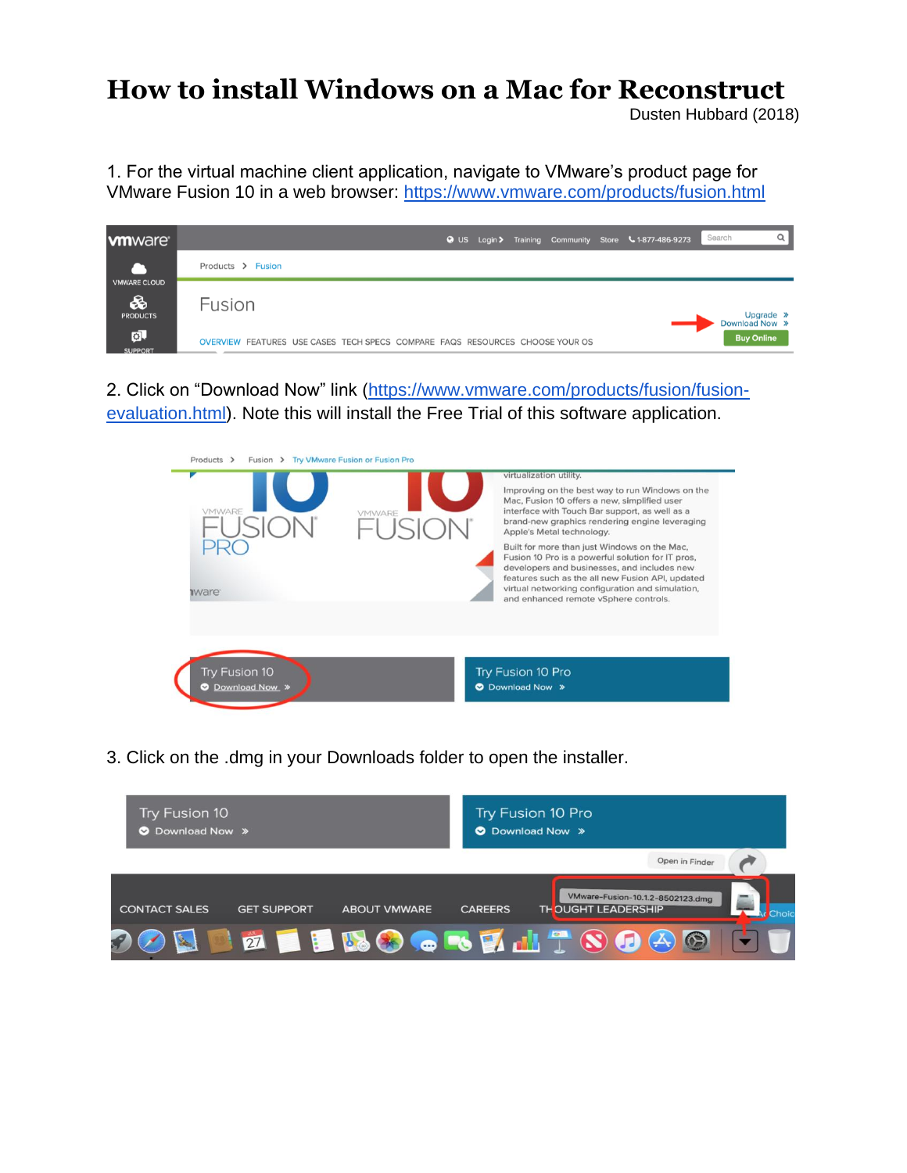## **How to install Windows on a Mac for Reconstruct**

Dusten Hubbard (2018)

1. For the virtual machine client application, navigate to VMware's product page for VMware Fusion 10 in a web browser:<https://www.vmware.com/products/fusion.html>



2. Click on "Download Now" link [\(https://www.vmware.com/products/fusion/fusion](https://www.vmware.com/products/fusion/fusion-evaluation.html)[evaluation.html\)](https://www.vmware.com/products/fusion/fusion-evaluation.html). Note this will install the Free Trial of this software application.



3. Click on the .dmg in your Downloads folder to open the installer.

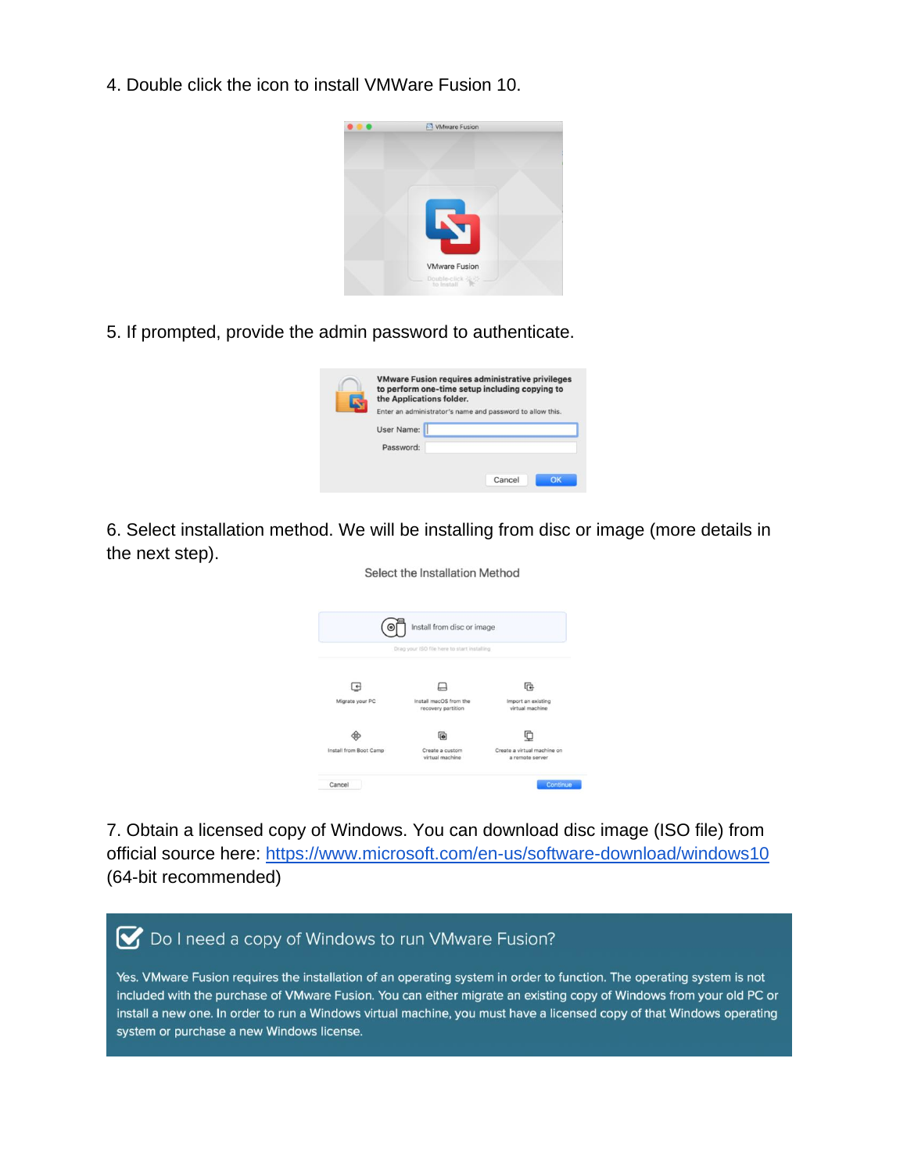4. Double click the icon to install VMWare Fusion 10.



5. If prompted, provide the admin password to authenticate.

| the Applications folder. | <b>VMware Fusion requires administrative privileges</b><br>to perform one-time setup including copying to |
|--------------------------|-----------------------------------------------------------------------------------------------------------|
|                          | Enter an administrator's name and password to allow this.                                                 |
| User Name:               |                                                                                                           |
| Password:                |                                                                                                           |
|                          |                                                                                                           |
|                          | Cancel<br>nĸ                                                                                              |

6. Select installation method. We will be installing from disc or image (more details in the next step). Select the Installation Method



7. Obtain a licensed copy of Windows. You can download disc image (ISO file) from official source here:<https://www.microsoft.com/en-us/software-download/windows10> (64-bit recommended)

## ◯ Do I need a copy of Windows to run VMware Fusion?

Yes. VMware Fusion requires the installation of an operating system in order to function. The operating system is not included with the purchase of VMware Fusion. You can either migrate an existing copy of Windows from your old PC or install a new one. In order to run a Windows virtual machine, you must have a licensed copy of that Windows operating system or purchase a new Windows license.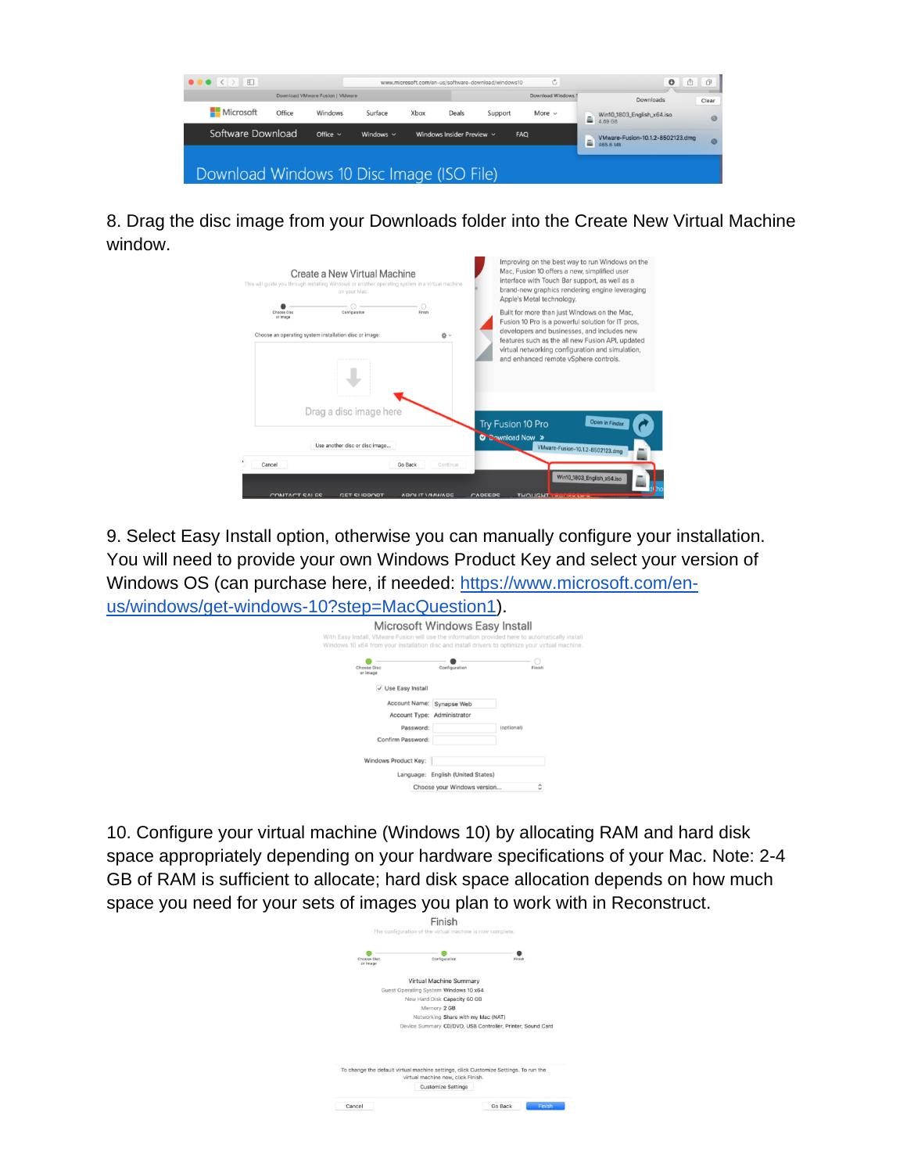

8. Drag the disc image from your Downloads folder into the Create New Virtual Machine window.

| This will guide you through installing Windows or another operating system in a virtual machine | Create a New Virtual Machine<br>on your Mac. |                                               |         | Improving on the best way to run Windows on the<br>Mac, Fusion 10 offers a new, simplified user<br>interface with Touch Bar support, as well as a<br>brand-new graphics rendering engine leveraging<br>Apple's Metal technology. |
|-------------------------------------------------------------------------------------------------|----------------------------------------------|-----------------------------------------------|---------|----------------------------------------------------------------------------------------------------------------------------------------------------------------------------------------------------------------------------------|
| Choose Disc<br>or Image<br>Choose an operating system installation disc or image:               | Configuration                                | Finish<br>当∨                                  |         | Built for more than just Windows on the Mac,<br>Fusion 10 Pro is a powerful solution for IT pros,<br>developers and businesses, and includes new<br>features such as the all new Fusion API, updated                             |
|                                                                                                 |                                              |                                               |         | virtual networking configuration and simulation,<br>and enhanced remote vSphere controls.                                                                                                                                        |
|                                                                                                 | Drag a disc image here                       |                                               |         | Open in Finder<br>Try Fusion 10 Pro                                                                                                                                                                                              |
|                                                                                                 | Use another disc or disc image               |                                               |         | C Bownload Now »<br>VMware-Fusion-10.1.2-8502123.dmg                                                                                                                                                                             |
| Cancel<br>CONITACT CALES                                                                        | <b>CET CLIDDODT</b>                          | Go Back<br>Continue<br><b>ADOLIT VANAIADE</b> | CADEEDS | Win10_1803_English_x64.iso<br>THOLIGHT <b>TELLING</b>                                                                                                                                                                            |

9. Select Easy Install option, otherwise you can manually configure your installation. You will need to provide your own Windows Product Key and select your version of Windows OS (can purchase here, if needed: [https://www.microsoft.com/en](https://www.microsoft.com/en-us/windows/get-windows-10?step=MacQuestion1)[us/windows/get-windows-10?step=MacQuestion1\)](https://www.microsoft.com/en-us/windows/get-windows-10?step=MacQuestion1).

| Microsoft Windows Easy Install<br>With Easy Install, VMware Fusion will use the information provided here to automatically install |                                   |            |
|------------------------------------------------------------------------------------------------------------------------------------|-----------------------------------|------------|
| Windows 10 x64 from your installation disc and install drivers to optimize your virtual machine.<br>Choose Disc<br>or Image        | Configuration                     | Finish     |
| V Use Easy Install                                                                                                                 |                                   |            |
| Account Name:                                                                                                                      | Synapse Web                       |            |
| Account Type: Administrator                                                                                                        |                                   |            |
| Password:                                                                                                                          |                                   | (optional) |
| Confirm Password:                                                                                                                  |                                   |            |
| Windows Product Key:                                                                                                               |                                   |            |
|                                                                                                                                    | Language: English (United States) |            |
|                                                                                                                                    | Choose your Windows version       | ٥          |

10. Configure your virtual machine (Windows 10) by allocating RAM and hard disk space appropriately depending on your hardware specifications of your Mac. Note: 2-4 GB of RAM is sufficient to allocate; hard disk space allocation depends on how much space you need for your sets of images you plan to work with in Reconstruct.

| Choose Disc | Configuration                                                                                                              | Finish |  |
|-------------|----------------------------------------------------------------------------------------------------------------------------|--------|--|
| or Image    |                                                                                                                            |        |  |
|             | Virtual Machine Summary                                                                                                    |        |  |
|             | Guest Operating System Windows 10 x64                                                                                      |        |  |
|             | New Hard Disk Capacity 60 GB                                                                                               |        |  |
|             | Memory 2 GB                                                                                                                |        |  |
|             | Networking Share with my Mac (NAT)                                                                                         |        |  |
|             | Device Summary CD/DVD, USB Controller, Printer, Sound Card                                                                 |        |  |
|             |                                                                                                                            |        |  |
|             |                                                                                                                            |        |  |
|             |                                                                                                                            |        |  |
|             |                                                                                                                            |        |  |
|             | To change the default virtual machine settings, click Customize Settings. To run the<br>virtual machine now, click Finish. |        |  |
|             |                                                                                                                            |        |  |
|             | <b>Customize Settings</b>                                                                                                  |        |  |